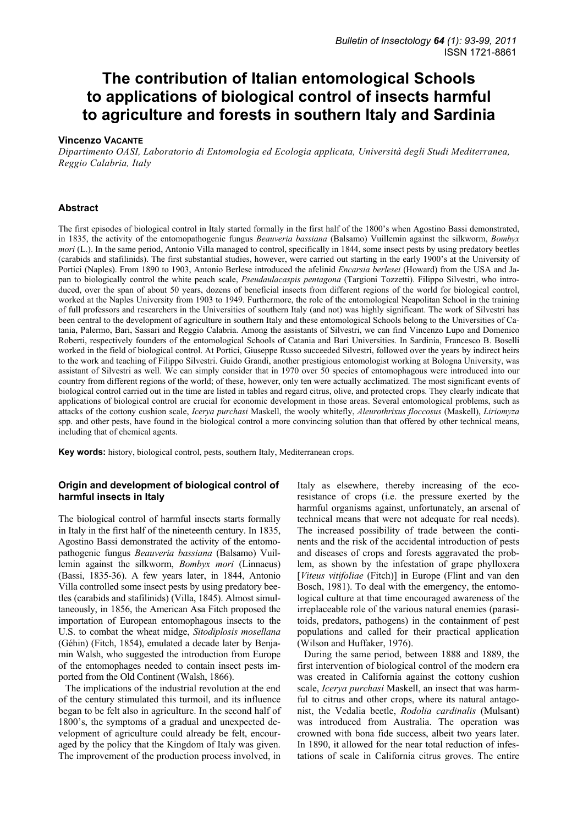# **The contribution of Italian entomological Schools to applications of biological control of insects harmful to agriculture and forests in southern Italy and Sardinia**

## **Vincenzo VACANTE**

*Dipartimento OASI, Laboratorio di Entomologia ed Ecologia applicata, Università degli Studi Mediterranea, Reggio Calabria, Italy* 

## **Abstract**

The first episodes of biological control in Italy started formally in the first half of the 1800's when Agostino Bassi demonstrated, in 1835, the activity of the entomopathogenic fungus *Beauveria bassiana* (Balsamo) Vuillemin against the silkworm, *Bombyx mori* (L.). In the same period, Antonio Villa managed to control, specifically in 1844, some insect pests by using predatory beetles (carabids and stafilinids). The first substantial studies, however, were carried out starting in the early 1900's at the University of Portici (Naples). From 1890 to 1903, Antonio Berlese introduced the afelinid *Encarsia berlesei* (Howard) from the USA and Japan to biologically control the white peach scale, *Pseudaulacaspis pentagona* (Targioni Tozzetti). Filippo Silvestri, who introduced, over the span of about 50 years, dozens of beneficial insects from different regions of the world for biological control, worked at the Naples University from 1903 to 1949. Furthermore, the role of the entomological Neapolitan School in the training of full professors and researchers in the Universities of southern Italy (and not) was highly significant. The work of Silvestri has been central to the development of agriculture in southern Italy and these entomological Schools belong to the Universities of Catania, Palermo, Bari, Sassari and Reggio Calabria. Among the assistants of Silvestri, we can find Vincenzo Lupo and Domenico Roberti, respectively founders of the entomological Schools of Catania and Bari Universities. In Sardinia, Francesco B. Boselli worked in the field of biological control. At Portici, Giuseppe Russo succeeded Silvestri, followed over the years by indirect heirs to the work and teaching of Filippo Silvestri. Guido Grandi, another prestigious entomologist working at Bologna University, was assistant of Silvestri as well. We can simply consider that in 1970 over 50 species of entomophagous were introduced into our country from different regions of the world; of these, however, only ten were actually acclimatized. The most significant events of biological control carried out in the time are listed in tables and regard citrus, olive, and protected crops. They clearly indicate that applications of biological control are crucial for economic development in those areas. Several entomological problems, such as attacks of the cottony cushion scale, *Icerya purchasi* Maskell, the wooly whitefly, *Aleurothrixus floccosus* (Maskell), *Liriomyza* spp. and other pests, have found in the biological control a more convincing solution than that offered by other technical means, including that of chemical agents.

**Key words:** history, biological control, pests, southern Italy, Mediterranean crops.

# **Origin and development of biological control of harmful insects in Italy**

The biological control of harmful insects starts formally in Italy in the first half of the nineteenth century. In 1835, Agostino Bassi demonstrated the activity of the entomopathogenic fungus *Beauveria bassiana* (Balsamo) Vuillemin against the silkworm, *Bombyx mori* (Linnaeus) (Bassi, 1835-36). A few years later, in 1844, Antonio Villa controlled some insect pests by using predatory beetles (carabids and stafilinids) (Villa, 1845). Almost simultaneously, in 1856, the American Asa Fitch proposed the importation of European entomophagous insects to the U.S. to combat the wheat midge, *Sitodiplosis mosellana* (Géhin) (Fitch, 1854), emulated a decade later by Benjamin Walsh, who suggested the introduction from Europe of the entomophages needed to contain insect pests imported from the Old Continent (Walsh, 1866).

The implications of the industrial revolution at the end of the century stimulated this turmoil, and its influence began to be felt also in agriculture. In the second half of 1800's, the symptoms of a gradual and unexpected development of agriculture could already be felt, encouraged by the policy that the Kingdom of Italy was given. The improvement of the production process involved, in

Italy as elsewhere, thereby increasing of the ecoresistance of crops (i.e. the pressure exerted by the harmful organisms against, unfortunately, an arsenal of technical means that were not adequate for real needs). The increased possibility of trade between the continents and the risk of the accidental introduction of pests and diseases of crops and forests aggravated the problem, as shown by the infestation of grape phylloxera [*Viteus vitifoliae* (Fitch)] in Europe (Flint and van den Bosch, 1981). To deal with the emergency, the entomological culture at that time encouraged awareness of the irreplaceable role of the various natural enemies (parasitoids, predators, pathogens) in the containment of pest populations and called for their practical application (Wilson and Huffaker, 1976).

During the same period, between 1888 and 1889, the first intervention of biological control of the modern era was created in California against the cottony cushion scale, *Icerya purchasi* Maskell, an insect that was harmful to citrus and other crops, where its natural antagonist, the Vedalia beetle, *Rodolia cardinalis* (Mulsant) was introduced from Australia. The operation was crowned with bona fide success, albeit two years later. In 1890, it allowed for the near total reduction of infestations of scale in California citrus groves. The entire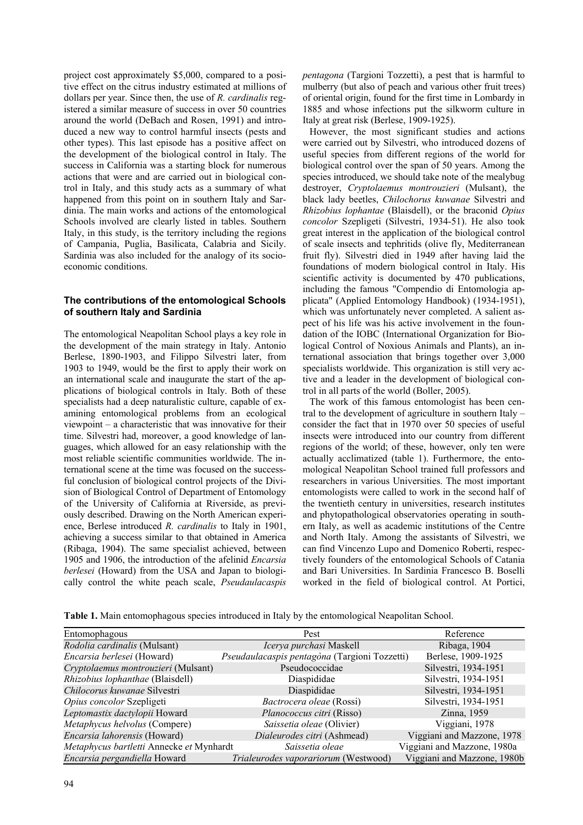project cost approximately \$5,000, compared to a positive effect on the citrus industry estimated at millions of dollars per year. Since then, the use of *R. cardinalis* registered a similar measure of success in over 50 countries around the world (DeBach and Rosen, 1991) and introduced a new way to control harmful insects (pests and other types). This last episode has a positive affect on the development of the biological control in Italy. The success in California was a starting block for numerous actions that were and are carried out in biological control in Italy, and this study acts as a summary of what happened from this point on in southern Italy and Sardinia. The main works and actions of the entomological Schools involved are clearly listed in tables. Southern Italy, in this study, is the territory including the regions of Campania, Puglia, Basilicata, Calabria and Sicily. Sardinia was also included for the analogy of its socioeconomic conditions.

# **The contributions of the entomological Schools of southern Italy and Sardinia**

The entomological Neapolitan School plays a key role in the development of the main strategy in Italy. Antonio Berlese, 1890-1903, and Filippo Silvestri later, from 1903 to 1949, would be the first to apply their work on an international scale and inaugurate the start of the applications of biological controls in Italy. Both of these specialists had a deep naturalistic culture, capable of examining entomological problems from an ecological viewpoint – a characteristic that was innovative for their time. Silvestri had, moreover, a good knowledge of languages, which allowed for an easy relationship with the most reliable scientific communities worldwide. The international scene at the time was focused on the successful conclusion of biological control projects of the Division of Biological Control of Department of Entomology of the University of California at Riverside, as previously described. Drawing on the North American experience, Berlese introduced *R. cardinalis* to Italy in 1901, achieving a success similar to that obtained in America (Ribaga, 1904). The same specialist achieved, between 1905 and 1906, the introduction of the afelinid *Encarsia berlesei* (Howard) from the USA and Japan to biologically control the white peach scale, *Pseudaulacaspis*  *pentagona* (Targioni Tozzetti), a pest that is harmful to mulberry (but also of peach and various other fruit trees) of oriental origin, found for the first time in Lombardy in 1885 and whose infections put the silkworm culture in Italy at great risk (Berlese, 1909-1925).

However, the most significant studies and actions were carried out by Silvestri, who introduced dozens of useful species from different regions of the world for biological control over the span of 50 years. Among the species introduced, we should take note of the mealybug destroyer, *Cryptolaemus montrouzieri* (Mulsant), the black lady beetles, *Chilochorus kuwanae* Silvestri and *Rhizobius lophantae* (Blaisdell), or the braconid *Opius concolor* Szepligeti (Silvestri, 1934-51). He also took great interest in the application of the biological control of scale insects and tephritids (olive fly, Mediterranean fruit fly). Silvestri died in 1949 after having laid the foundations of modern biological control in Italy. His scientific activity is documented by 470 publications, including the famous "Compendio di Entomologia applicata" (Applied Entomology Handbook) (1934-1951), which was unfortunately never completed. A salient aspect of his life was his active involvement in the foundation of the IOBC (International Organization for Biological Control of Noxious Animals and Plants), an international association that brings together over 3,000 specialists worldwide. This organization is still very active and a leader in the development of biological control in all parts of the world (Boller, 2005).

The work of this famous entomologist has been central to the development of agriculture in southern Italy – consider the fact that in 1970 over 50 species of useful insects were introduced into our country from different regions of the world; of these, however, only ten were actually acclimatized (table 1). Furthermore, the entomological Neapolitan School trained full professors and researchers in various Universities. The most important entomologists were called to work in the second half of the twentieth century in universities, research institutes and phytopathological observatories operating in southern Italy, as well as academic institutions of the Centre and North Italy. Among the assistants of Silvestri, we can find Vincenzo Lupo and Domenico Roberti, respectively founders of the entomological Schools of Catania and Bari Universities. In Sardinia Francesco B. Boselli worked in the field of biological control. At Portici,

**Table 1.** Main entomophagous species introduced in Italy by the entomological Neapolitan School.

| Entomophagous                            | Pest                                          | Reference                   |
|------------------------------------------|-----------------------------------------------|-----------------------------|
| Rodolia cardinalis (Mulsant)             | Icerya purchasi Maskell                       | Ribaga, 1904                |
| Encarsia berlesei (Howard)               | Pseudaulacaspis pentagòna (Targioni Tozzetti) | Berlese, 1909-1925          |
| Cryptolaemus montrouzieri (Mulsant)      | Pseudococcidae                                | Silvestri, 1934-1951        |
| Rhizobius lophanthae (Blaisdell)         | Diaspididae                                   | Silvestri, 1934-1951        |
| Chilocorus kuwanae Silvestri             | Diaspididae                                   | Silvestri, 1934-1951        |
| Opius concolor Szepligeti                | Bactrocera oleae (Rossi)                      | Silvestri, 1934-1951        |
| Leptomastix dactylopii Howard            | Planococcus citri (Risso)                     | Zinna, 1959                 |
| Metaphycus helvolus (Compere)            | Saissetia oleae (Olivier)                     | Viggiani, 1978              |
| Encarsia lahorensis (Howard)             | Dialeurodes citri (Ashmead)                   | Viggiani and Mazzone, 1978  |
| Metaphycus bartletti Annecke et Mynhardt | Saissetia oleae                               | Viggiani and Mazzone, 1980a |
| Encarsia pergandiella Howard             | Trialeurodes vaporariorum (Westwood)          | Viggiani and Mazzone, 1980b |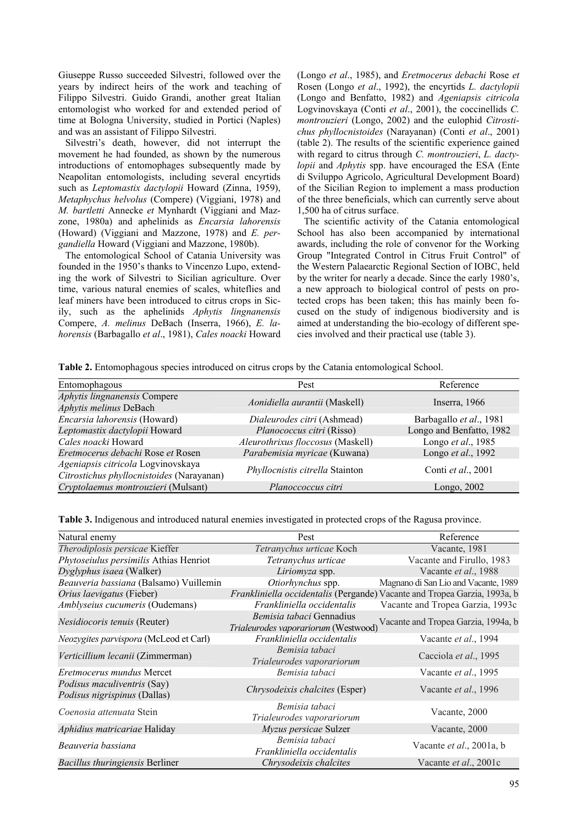Giuseppe Russo succeeded Silvestri, followed over the years by indirect heirs of the work and teaching of Filippo Silvestri. Guido Grandi, another great Italian entomologist who worked for and extended period of time at Bologna University, studied in Portici (Naples) and was an assistant of Filippo Silvestri.

Silvestri's death, however, did not interrupt the movement he had founded, as shown by the numerous introductions of entomophages subsequently made by Neapolitan entomologists, including several encyrtids such as *Leptomastix dactylopii* Howard (Zinna, 1959), *Metaphychus helvolus* (Compere) (Viggiani, 1978) and *M. bartletti* Annecke *et* Mynhardt (Viggiani and Mazzone, 1980a) and aphelinids as *Encarsia lahorensis* (Howard) (Viggiani and Mazzone, 1978) and *E. pergandiella* Howard (Viggiani and Mazzone, 1980b).

The entomological School of Catania University was founded in the 1950's thanks to Vincenzo Lupo, extending the work of Silvestri to Sicilian agriculture. Over time, various natural enemies of scales, whiteflies and leaf miners have been introduced to citrus crops in Sicily, such as the aphelinids *Aphytis lingnanensis* Compere, *A. melinus* DeBach (Inserra, 1966), *E. lahorensis* (Barbagallo *et al*., 1981), *Cales noacki* Howard (Longo *et al*., 1985), and *Eretmocerus debachi* Rose *et* Rosen (Longo *et al*., 1992), the encyrtids *L. dactylopii* (Longo and Benfatto, 1982) and *Ageniapsis citricola* Logvinovskaya (Conti *et al*., 2001), the coccinellids *C. montrouzieri* (Longo, 2002) and the eulophid *Citrostichus phyllocnistoides* (Narayanan) (Conti *et al*., 2001) (table 2). The results of the scientific experience gained with regard to citrus through *C. montrouzieri*, *L. dactylopii* and *Aphytis* spp. have encouraged the ESA (Ente di Sviluppo Agricolo, Agricultural Development Board) of the Sicilian Region to implement a mass production of the three beneficials, which can currently serve about 1,500 ha of citrus surface.

The scientific activity of the Catania entomological School has also been accompanied by international awards, including the role of convenor for the Working Group "Integrated Control in Citrus Fruit Control" of the Western Palaearctic Regional Section of IOBC, held by the writer for nearly a decade. Since the early 1980's, a new approach to biological control of pests on protected crops has been taken; this has mainly been focused on the study of indigenous biodiversity and is aimed at understanding the bio-ecology of different species involved and their practical use (table 3).

**Table 2.** Entomophagous species introduced on citrus crops by the Catania entomological School.

| Entomophagous                                                                   | Pest                              | Reference                |
|---------------------------------------------------------------------------------|-----------------------------------|--------------------------|
| Aphytis lingnanensis Compere<br>Aphytis melinus DeBach                          | Aonidiella aurantii (Maskell)     | Inserra, 1966            |
| Encarsia lahorensis (Howard)                                                    | Dialeurodes citri (Ashmead)       | Barbagallo et al., 1981  |
| Leptomastix dactylopii Howard                                                   | Planococcus citri (Risso)         | Longo and Benfatto, 1982 |
| Cales noacki Howard                                                             | Aleurothrixus floccosus (Maskell) | Longo et al., 1985       |
| Eretmocerus debachi Rose et Rosen                                               | Parabemisia myricae (Kuwana)      | Longo et al., 1992       |
| Ageniapsis citricola Logvinovskaya<br>Citrostichus phyllocnistoides (Narayanan) | Phyllocnistis citrella Stainton   | Conti et al., 2001       |
| Cryptolaemus montrouzieri (Mulsant)                                             | Planoccoccus citri                | Longo, 2002              |

**Table 3.** Indigenous and introduced natural enemies investigated in protected crops of the Ragusa province.

| Natural enemy                                               | Pest                                                                      | Reference                            |
|-------------------------------------------------------------|---------------------------------------------------------------------------|--------------------------------------|
| <i>Therodiplosis persicae</i> Kieffer                       | Tetranychus urticae Koch                                                  | Vacante, 1981                        |
| Phytoseiulus persimilis Athias Henriot                      | Tetranychus urticae                                                       | Vacante and Firullo, 1983            |
| Dyglyphus isaea (Walker)                                    | Liriomyza spp.                                                            | Vacante et al., 1988                 |
| Beauveria bassiana (Balsamo) Vuillemin                      | Otiorhynchus spp.                                                         | Magnano di San Lio and Vacante, 1989 |
| Orius laevigatus (Fieber)                                   | Frankliniella occidentalis (Pergande) Vacante and Tropea Garzia, 1993a, b |                                      |
| Amblyseius cucumeris (Oudemans)                             | Frankliniella occidentalis                                                | Vacante and Tropea Garzia, 1993c     |
| Nesidiocoris tenuis (Reuter)                                | <i>Bemisia tabaci</i> Gennadius<br>Trialeurodes vaporariorum (Westwood)   | Vacante and Tropea Garzia, 1994a, b  |
| Neozygites parvispora (McLeod et Carl)                      | Frankliniella occidentalis                                                | Vacante et al., 1994                 |
| Verticillium lecanii (Zimmerman)                            | Bemisia tabaci<br>Trialeurodes vaporariorum                               | Cacciola et al., 1995                |
| <i>Eretmocerus mundus</i> Mercet                            | Bemisia tabaci                                                            | Vacante et al., 1995                 |
| Podisus maculiventris (Say)<br>Podisus nigrispinus (Dallas) | <i>Chrysodeixis chalcites</i> (Esper)                                     | Vacante <i>et al.</i> , 1996         |
| Coenosia attenuata Stein                                    | Bemisia tabaci<br>Trialeurodes vaporariorum                               | Vacante, 2000                        |
| Aphidius matricariae Haliday                                | Myzus persicae Sulzer                                                     | Vacante, 2000                        |
| Beauveria bassiana                                          | Bemisia tabaci<br>Frankliniella occidentalis                              | Vacante <i>et al.</i> , 2001a, b     |
| <b>Bacillus thuringiensis Berliner</b>                      | Chrysodeixis chalcites                                                    | Vacante <i>et al.</i> , 2001c        |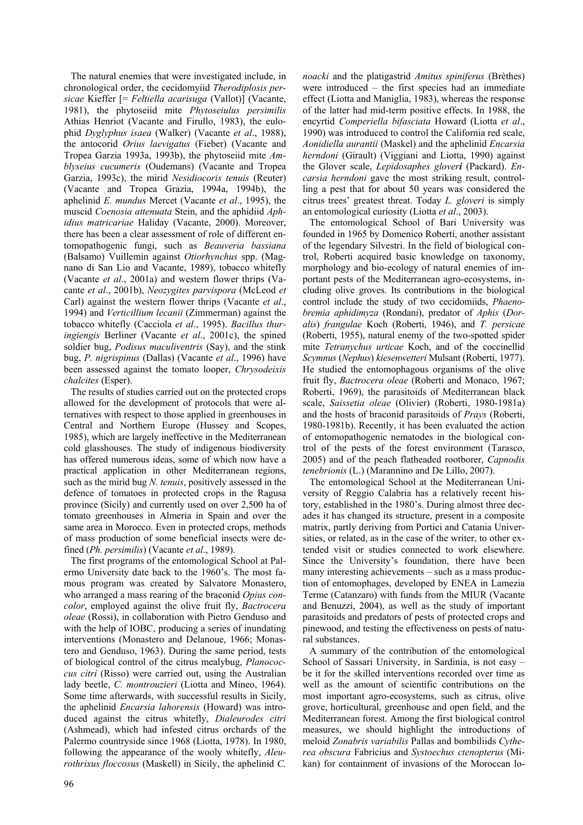The natural enemies that were investigated include, in chronological order, the cecidomyiid *Therodiplosis persicae* Kieffer [= *Feltiella acarisuga* (Vallot)] (Vacante, 1981), the phytoseiid mite *Phytoseiulus persimilis* Athias Henriot (Vacante and Firullo, 1983), the eulophid *Dyglyphus isaea* (Walker) (Vacante *et al*., 1988), the antocorid *Orius laevigatus* (Fieber) (Vacante and Tropea Garzia 1993a, 1993b), the phytoseiid mite *Amblyseius cucumeris* (Oudemans) (Vacante and Tropea Garzia, 1993c), the mirid *Nesidiocoris tenuis* (Reuter) (Vacante and Tropea Grazia, 1994a, 1994b), the aphelinid *E. mundus* Mercet (Vacante *et al*., 1995), the muscid *Coenosia attenuata* Stein, and the aphidiid *Aphidius matricariae* Haliday (Vacante, 2000). Moreover, there has been a clear assessment of role of different entomopathogenic fungi, such as *Beauveria bassiana* (Balsamo) Vuillemin against *Otiorhynchus* spp. (Magnano di San Lio and Vacante, 1989), tobacco whitefly (Vacante *et al*., 2001a) and western flower thrips (Vacante *et al*., 2001b), *Neozygites parvispora* (McLeod *et* Carl) against the western flower thrips (Vacante *et al*., 1994) and *Verticillium lecanii* (Zimmerman) against the tobacco whitefly (Cacciola *et al*., 1995). *Bacillus thuringiengis* Berliner (Vacante *et al*., 2001c), the spined soldier bug, *Podisus maculiventris* (Say), and the stink bug, *P. nigrispinus* (Dallas) (Vacante *et al*., 1996) have been assessed against the tomato looper, *Chrysodeixis chalcites* (Esper).

The results of studies carried out on the protected crops allowed for the development of protocols that were alternatives with respect to those applied in greenhouses in Central and Northern Europe (Hussey and Scopes, 1985), which are largely ineffective in the Mediterranean cold glasshouses. The study of indigenous biodiversity has offered numerous ideas, some of which now have a practical application in other Mediterranean regions, such as the mirid bug *N. tenuis*, positively assessed in the defence of tomatoes in protected crops in the Ragusa province (Sicily) and currently used on over 2,500 ha of tomato greenhouses in Almeria in Spain and over the same area in Morocco. Even in protected crops, methods of mass production of some beneficial insects were defined (*Ph. persimilis*) (Vacante *et al*., 1989).

The first programs of the entomological School at Palermo University date back to the 1960's. The most famous program was created by Salvatore Monastero, who arranged a mass rearing of the braconid *Opius concolor*, employed against the olive fruit fly, *Bactrocera oleae* (Rossi), in collaboration with Pietro Genduso and with the help of IOBC, producing a series of inundating interventions (Monastero and Delanoue, 1966; Monastero and Genduso, 1963). During the same period, tests of biological control of the citrus mealybug, *Planococcus citri* (Risso) were carried out, using the Australian lady beetle, *C. montrouzieri* (Liotta and Mineo, 1964). Some time afterwards, with successful results in Sicily, the aphelinid *Encarsia lahorensis* (Howard) was introduced against the citrus whitefly, *Dialeurodes citri* (Ashmead), which had infested citrus orchards of the Palermo countryside since 1968 (Liotta, 1978). In 1980, following the appearance of the wooly whitefly, *Aleurothrixus floccosus* (Maskell) in Sicily, the aphelinid *C.* 

*noacki* and the platigastrid *Amitus spiniferus* (Brèthes) were introduced – the first species had an immediate effect (Liotta and Maniglia, 1983), whereas the response of the latter had mid-term positive effects. In 1988, the encyrtid *Comperiella bifasciata* Howard (Liotta *et al*., 1990) was introduced to control the California red scale, *Aonidiella aurantii* (Maskel) and the aphelinid *Encarsia herndoni* (Girault) (Viggiani and Liotta, 1990) against the Glover scale, *Lepidosaphes gloveri* (Packard). *Encarsia herndoni* gave the most striking result, controlling a pest that for about 50 years was considered the citrus trees' greatest threat. Today *L. gloveri* is simply an entomological curiosity (Liotta *et al*., 2003).

The entomological School of Bari University was founded in 1965 by Domenico Roberti, another assistant of the legendary Silvestri. In the field of biological control, Roberti acquired basic knowledge on taxonomy, morphology and bio-ecology of natural enemies of important pests of the Mediterranean agro-ecosystems, including olive groves. Its contributions in the biological control include the study of two cecidomiids, *Phaenobremia aphidimyza* (Rondani), predator of *Aphis* (*Doralis*) *frangulae* Koch (Roberti, 1946), and *T. persicae* (Roberti, 1955), natural enemy of the two-spotted spider mite *Tetranychus urticae* Koch, and of the coccinellid *Scymnus* (*Nephus*) *kiesenwetteri* Mulsant (Roberti, 1977). He studied the entomophagous organisms of the olive fruit fly, *Bactrocera oleae* (Roberti and Monaco, 1967; Roberti, 1969), the parasitoids of Mediterranean black scale, *Saissetia oleae* (Olivier) (Roberti, 1980-1981a) and the hosts of braconid parasitoids of *Prays* (Roberti, 1980-1981b). Recently, it has been evaluated the action of entomopathogenic nematodes in the biological control of the pests of the forest environment (Tarasco, 2005) and of the peach flatheaded rootborer, *Capnodis tenebrionis* (L.) (Marannino and De Lillo, 2007).

The entomological School at the Mediterranean University of Reggio Calabria has a relatively recent history, established in the 1980's. During almost three decades it has changed its structure, present in a composite matrix, partly deriving from Portici and Catania Universities, or related, as in the case of the writer, to other extended visit or studies connected to work elsewhere. Since the University's foundation, there have been many interesting achievements – such as a mass production of entomophages, developed by ENEA in Lamezia Terme (Catanzaro) with funds from the MIUR (Vacante and Benuzzi, 2004), as well as the study of important parasitoids and predators of pests of protected crops and pinewood, and testing the effectiveness on pests of natural substances.

A summary of the contribution of the entomological School of Sassari University, in Sardinia, is not easy – be it for the skilled interventions recorded over time as well as the amount of scientific contributions on the most important agro-ecosystems, such as citrus, olive grove, horticultural, greenhouse and open field, and the Mediterranean forest. Among the first biological control measures, we should highlight the introductions of meloid *Zonabris variabilis* Pallas and bombiliids *Cytherea obscura* Fabricius and *Systoechus ctenopterus* (Mikan) for containment of invasions of the Moroccan lo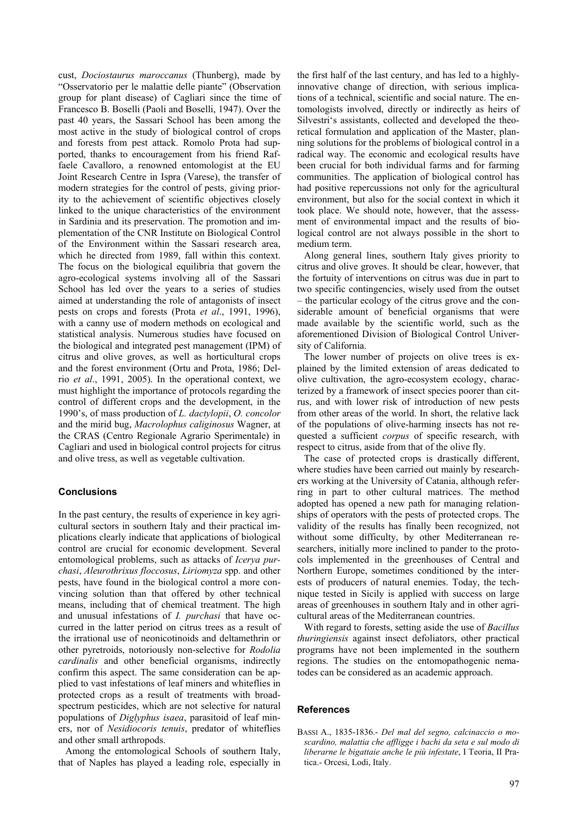cust, *Dociostaurus maroccanus* (Thunberg), made by "Osservatorio per le malattie delle piante" (Observation group for plant disease) of Cagliari since the time of Francesco B. Boselli (Paoli and Boselli, 1947). Over the past 40 years, the Sassari School has been among the most active in the study of biological control of crops and forests from pest attack. Romolo Prota had supported, thanks to encouragement from his friend Raffaele Cavalloro, a renowned entomologist at the EU Joint Research Centre in Ispra (Varese), the transfer of modern strategies for the control of pests, giving priority to the achievement of scientific objectives closely linked to the unique characteristics of the environment in Sardinia and its preservation. The promotion and implementation of the CNR Institute on Biological Control of the Environment within the Sassari research area, which he directed from 1989, fall within this context. The focus on the biological equilibria that govern the agro-ecological systems involving all of the Sassari School has led over the years to a series of studies aimed at understanding the role of antagonists of insect pests on crops and forests (Prota *et al*., 1991, 1996), with a canny use of modern methods on ecological and statistical analysis. Numerous studies have focused on the biological and integrated pest management (IPM) of citrus and olive groves, as well as horticultural crops and the forest environment (Ortu and Prota, 1986; Delrio *et al*., 1991, 2005). In the operational context, we must highlight the importance of protocols regarding the control of different crops and the development, in the 1990's, of mass production of *L. dactylopii*, *O. concolor* and the mirid bug, *Macrolophus caliginosus* Wagner, at the CRAS (Centro Regionale Agrario Sperimentale) in Cagliari and used in biological control projects for citrus and olive tress, as well as vegetable cultivation.

## **Conclusions**

In the past century, the results of experience in key agricultural sectors in southern Italy and their practical implications clearly indicate that applications of biological control are crucial for economic development. Several entomological problems, such as attacks of *Icerya purchasi*, *Aleurothrixus floccosus*, *Liriomyza* spp. and other pests, have found in the biological control a more convincing solution than that offered by other technical means, including that of chemical treatment. The high and unusual infestations of *I. purchasi* that have occurred in the latter period on citrus trees as a result of the irrational use of neonicotinoids and deltamethrin or other pyretroids, notoriously non-selective for *Rodolia cardinalis* and other beneficial organisms, indirectly confirm this aspect. The same consideration can be applied to vast infestations of leaf miners and whiteflies in protected crops as a result of treatments with broadspectrum pesticides, which are not selective for natural populations of *Diglyphus isaea*, parasitoid of leaf miners, nor of *Nesidiocoris tenuis*, predator of whiteflies and other small arthropods.

Among the entomological Schools of southern Italy, that of Naples has played a leading role, especially in the first half of the last century, and has led to a highlyinnovative change of direction, with serious implications of a technical, scientific and social nature. The entomologists involved, directly or indirectly as heirs of Silvestri's assistants, collected and developed the theoretical formulation and application of the Master, planning solutions for the problems of biological control in a radical way. The economic and ecological results have been crucial for both individual farms and for farming communities. The application of biological control has had positive repercussions not only for the agricultural environment, but also for the social context in which it took place. We should note, however, that the assessment of environmental impact and the results of biological control are not always possible in the short to medium term.

Along general lines, southern Italy gives priority to citrus and olive groves. It should be clear, however, that the fortuity of interventions on citrus was due in part to two specific contingencies, wisely used from the outset – the particular ecology of the citrus grove and the considerable amount of beneficial organisms that were made available by the scientific world, such as the aforementioned Division of Biological Control University of California.

The lower number of projects on olive trees is explained by the limited extension of areas dedicated to olive cultivation, the agro-ecosystem ecology, characterized by a framework of insect species poorer than citrus, and with lower risk of introduction of new pests from other areas of the world. In short, the relative lack of the populations of olive-harming insects has not requested a sufficient *corpus* of specific research, with respect to citrus, aside from that of the olive fly.

The case of protected crops is drastically different, where studies have been carried out mainly by researchers working at the University of Catania, although referring in part to other cultural matrices. The method adopted has opened a new path for managing relationships of operators with the pests of protected crops. The validity of the results has finally been recognized, not without some difficulty, by other Mediterranean researchers, initially more inclined to pander to the protocols implemented in the greenhouses of Central and Northern Europe, sometimes conditioned by the interests of producers of natural enemies. Today, the technique tested in Sicily is applied with success on large areas of greenhouses in southern Italy and in other agricultural areas of the Mediterranean countries.

With regard to forests, setting aside the use of *Bacillus thuringiensis* against insect defoliators, other practical programs have not been implemented in the southern regions. The studies on the entomopathogenic nematodes can be considered as an academic approach.

#### **References**

BASSI A., 1835-1836.- *Del mal del segno, calcinaccio o moscardino, malattia che affligge i bachi da seta e sul modo di liberarne le bigattaie anche le più infestate*, I Teoria, II Pratica.- Orcesi, Lodi, Italy.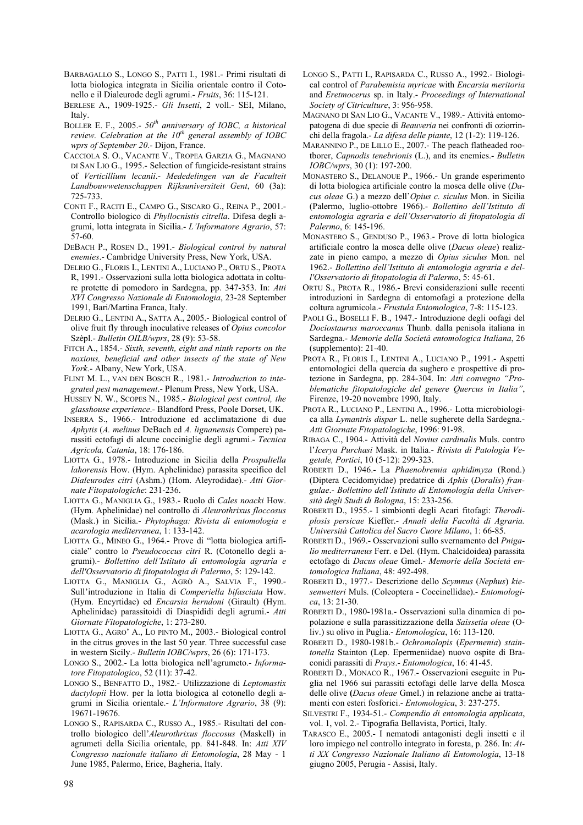- BARBAGALLO S., LONGO S., PATTI I., 1981.- Primi risultati di lotta biologica integrata in Sicilia orientale contro il Cotonello e il Dialeurode degli agrumi.- *Fruits*, 36: 115-121.
- BERLESE A., 1909-1925.- *Gli Insetti*, 2 voll.- SEI, Milano, Italy.
- BOLLER E. F., 2005.-  $50<sup>th</sup>$  anniversary of IOBC, a historical *review. Celebration at the 10<sup>th</sup> general assembly of IOBC wprs of September 20*.- Dijon, France.
- CACCIOLA S. O., VACANTE V., TROPEA GARZIA G., MAGNANO DI SAN LIO G., 1995.- Selection of fungicide-resistant strains of *Verticillium lecanii*.- *Mededelingen van de Faculteit Landbouwwetenschappen Rijksuniversiteit Gent*, 60 (3a): 725-733.
- CONTI F., RACITI E., CAMPO G., SISCARO G., REINA P., 2001.- Controllo biologico di *Phyllocnistis citrella*. Difesa degli agrumi, lotta integrata in Sicilia.- *L'Informatore Agrario*, 57: 57-60.
- DEBACH P., ROSEN D., 1991.- *Biological control by natural enemies*.- Cambridge University Press, New York, USA.
- DELRIO G., FLORIS I., LENTINI A., LUCIANO P., ORTU S., PROTA R, 1991.- Osservazioni sulla lotta biologica adottata in colture protette di pomodoro in Sardegna, pp. 347-353. In: *Atti XVI Congresso Nazionale di Entomologia*, 23-28 September 1991, Bari/Martina Franca, Italy.
- DELRIO G., LENTINI A., SATTA A., 2005.- Biological control of olive fruit fly through inoculative releases of *Opius concolor* Szèpl.- *Bulletin OILB/wprs*, 28 (9): 53-58.
- FITCH A., 1854.- *Sixth, seventh, eight and ninth reports on the noxious, beneficial and other insects of the state of New York*.- Albany, New York, USA.
- FLINT M. L., VAN DEN BOSCH R., 1981.- *Introduction to integrated pest management*.- Plenum Press, New York, USA.
- HUSSEY N. W., SCOPES N., 1985.- *Biological pest control, the glasshouse experience*.- Blandford Press, Poole Dorset, UK.
- INSERRA S., 1966.- Introduzione ed acclimatazione di due *Aphytis* (*A. melinus* DeBach ed *A. lignanensis* Compere) parassiti ectofagi di alcune cocciniglie degli agrumi.- *Tecnica Agricola, Catania*, 18: 176-186.
- LIOTTA G., 1978.- Introduzione in Sicilia della *Prospaltella lahorensis* How. (Hym. Aphelinidae) parassita specifico del *Dialeurodes citri* (Ashm.) (Hom. Aleyrodidae).- *Atti Giornate Fitopatologiche*: 231-236.
- LIOTTA G., MANIGLIA G., 1983.- Ruolo di *Cales noacki* How. (Hym. Aphelinidae) nel controllo di *Aleurothrixus floccosus* (Mask.) in Sicilia.- *Phytophaga: Rivista di entomologia e acarologia mediterranea*, 1: 133-142.
- LIOTTA G., MINEO G., 1964.- Prove di "lotta biologica artificiale" contro lo *Pseudococcus citri* R. (Cotonello degli agrumi).- *Bollettino dell'Istituto di entomologia agraria e dell'Osservatorio di fitopatologia di Palermo*, 5: 129-142.
- LIOTTA G., MANIGLIA G., AGRÒ A., SALVIA F., 1990.- Sull'introduzione in Italia di *Comperiella bifasciata* How. (Hym. Encyrtidae) ed *Encarsia herndoni* (Girault) (Hym. Aphelinidae) parassitoidi di Diaspididi degli agrumi.- *Atti Giornate Fitopatologiche*, 1: 273-280.
- LIOTTA G., AGRO' A., LO PINTO M., 2003.- Biological control in the citrus groves in the last 50 year. Three successful case in western Sicily.- *Bulletin IOBC/wprs*, 26 (6): 171-173.
- LONGO S., 2002.- La lotta biologica nell'agrumeto.- *Informatore Fitopatologico*, 52 (11): 37-42.
- LONGO S., BENFATTO D., 1982.- Utilizzazione di *Leptomastix dactylopii* How. per la lotta biologica al cotonello degli agrumi in Sicilia orientale.- *L'Informatore Agrario*, 38 (9): 19671-19676.
- LONGO S., RAPISARDA C., RUSSO A., 1985.- Risultati del controllo biologico dell'*Aleurothrixus floccosus* (Maskell) in agrumeti della Sicilia orientale, pp. 841-848. In: *Atti XIV Congresso nazionale italiano di Entomologia*, 28 May - 1 June 1985, Palermo, Erice, Bagheria, Italy.
- LONGO S., PATTI I., RAPISARDA C., RUSSO A., 1992.- Biological control of *Parabemisia myricae* with *Encarsia meritoria* and *Eretmocerus* sp. in Italy.- *Proceedings of International Society of Citriculture*, 3: 956-958.
- MAGNANO DI SAN LIO G., VACANTE V., 1989.- Attività entomopatogena di due specie di *Beauveria* nei confronti di oziorrinchi della fragola.- *La difesa delle piante*, 12 (1-2): 119-126.
- MARANNINO P., DE LILLO E., 2007.- The peach flatheaded rootborer, *Capnodis tenebrionis* (L.), and its enemies.- *Bulletin IOBC/wprs*, 30 (1): 197-200.
- MONASTERO S., DELANOUE P., 1966.- Un grande esperimento di lotta biologica artificiale contro la mosca delle olive (*Dacus oleae* G.) a mezzo dell'*Opius c. siculus* Mon. in Sicilia (Palermo, luglio-ottobre 1966).- *Bollettino dell'Istituto di entomologia agraria e dell'Osservatorio di fitopatologia di Palermo*, 6: 145-196.
- MONASTERO S., GENDUSO P., 1963.- Prove di lotta biologica artificiale contro la mosca delle olive (*Dacus oleae*) realizzate in pieno campo, a mezzo di *Opius siculus* Mon. nel 1962.- *Bollettino dell'Istituto di entomologia agraria e dell'Osservatorio di fitopatologia di Palermo*, 5: 45-61.
- ORTU S., PROTA R., 1986.- Brevi considerazioni sulle recenti introduzioni in Sardegna di entomofagi a protezione della coltura agrumicola.- *Frustula Entomologica*, 7-8: 115-123.
- PAOLI G., BOSELLI F. B., 1947.- Introduzione degli oofagi del *Dociostaurus maroccanus* Thunb. dalla penisola italiana in Sardegna.- *Memorie della Società entomologica Italiana*, 26 (supplemento): 21-40.
- PROTA R., FLORIS I., LENTINI A., LUCIANO P., 1991.- Aspetti entomologici della quercia da sughero e prospettive di protezione in Sardegna, pp. 284-304. In: *Atti convegno "Problematiche fitopatologiche del genere Quercus in Italia"*, Firenze, 19-20 novembre 1990, Italy.
- PROTA R., LUCIANO P., LENTINI A., 1996.- Lotta microbiologica alla *Lymantris dispar* L. nelle sugherete della Sardegna.- *Atti Giornate Fitopatologiche*, 1996: 91-98.
- RIBAGA C., 1904.- Attività del *Novius cardinalis* Muls. contro l'*Icerya Purchasi* Mask. in Italia.- *Rivista di Patologia Vegetale, Portici*, 10 (5-12): 299-323.
- ROBERTI D., 1946.- La *Phaenobremia aphidimyza* (Rond.) (Diptera Cecidomyidae) predatrice di *Aphis* (*Doralis*) *frangulae*.- *Bollettino dell'Istituto di Entomologia della Università degli Studi di Bologna*, 15: 233-256.
- ROBERTI D., 1955.- I simbionti degli Acari fitofagi: *Therodiplosis persicae* Kieffer.- *Annali della Facoltà di Agraria. Università Cattolica del Sacro Cuore Milano*, 1: 66-85.
- ROBERTI D., 1969.- Osservazioni sullo svernamento del *Pnigalio mediterraneus* Ferr. e Del. (Hym. Chalcidoidea**)** parassita ectofago di *Dacus oleae* Gmel.- *Memorie della Società entomologica Italiana*, 48: 492-498.
- ROBERTI D., 1977.- Descrizione dello *Scymnus* (*Nephus*) *kiesenwetteri* Muls. (Coleoptera - Coccinellidae).- *Entomologica*, 13: 21-30.
- ROBERTI D., 1980-1981a.- Osservazioni sulla dinamica di popolazione e sulla parassitizzazione della *Saissetia oleae* (Oliv.) su olivo in Puglia.- *Entomologica*, 16: 113-120.
- ROBERTI D., 1980-1981b.- *Ochromolopis* (*Epermenia*) *staintonella* Stainton (Lep. Epermeniidae) nuovo ospite di Braconidi parassiti di *Prays*.- *Entomologica*, 16: 41-45.
- ROBERTI D., MONACO R., 1967.- Osservazioni eseguite in Puglia nel 1966 sui parassiti ectofagi delle larve della Mosca delle olive **(***Dacus oleae* Gmel.) in relazione anche ai trattamenti con esteri fosforici.- *Entomologica*, 3: 237-275.
- SILVESTRI F., 1934-51.- *Compendio di entomologia applicata*, vol. 1, vol. 2.- Tipografia Bellavista, Portici, Italy.
- TARASCO E., 2005.- I nematodi antagonisti degli insetti e il loro impiego nel controllo integrato in foresta, p. 286. In: *Atti XX Congresso Nazionale Italiano di Entomologia*, 13-18 giugno 2005, Perugia - Assisi, Italy.